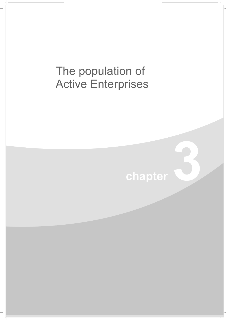## The population of **Active Enterprises**

## chapter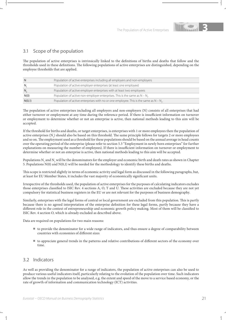

## 3.1 Scope of the population

The population of active enterprises is intrinsically linked to the definitions of births and deaths that follow and the thresholds used in these definitions. The following populations of active enterprises are distinguished, depending on the employee thresholds that are applied.

| -N           | Population of active enterprises including all employers and non-employers                  |
|--------------|---------------------------------------------------------------------------------------------|
| <sup>N</sup> | Population of active employer enterprises (at least one employee)                           |
| $N_{\gamma}$ | Population of active employer enterprises with at least two employees                       |
| N(0)         | Population of active non-employer enterprises. This is the same as $N - N$ .                |
| N(0,1)       | Population of active enterprises with no or one employee. This is the same as $N - N_{n}$ . |

The population of active enterprises including all employers and non-employers (N) consists of all enterprises that had either turnover or employment at any time during the reference period. If there is insufficient information on turnover or employment to determine whether or not an enterprise is active, then national methods leading to this aim will be accepted.

If the threshold for births and deaths, or target enterprises, is enterprises with 1 or more employees then the population of active enterprises  $(N_1)$  should also be based on this threshold. The same principle follows for targets 2 or more employees and so on. The employment used as a threshold for these populations should be based on the annual average in head counts over the operating period of the enterprise (please refer to section 5.3 "Employment in newly born enterprises" for further explanations on measuring the number of employees). If there is insufficient information on turnover or employment to determine whether or not an enterprise is active, then national methods leading to this aim will be accepted.

Populations  $N_1$  and  $N_2$  will be the denominators for the employer and economic birth and death rates as shown in Chapter 5. Populations N(0) and N(0,1) will be needed for the methodology to identify these births and deaths.

This scope is restricted slightly in terms of economic activity and legal form as discussed in the following paragraphs, but, at least for EU Member States, it includes the vast majority of economically significant units.

Irrespective of the thresholds used, the population of active enterprises for the purposes of calculating indicators excludes those enterprises classified to ISIC Rev. 4 sections A, O, T and U. These activities are excluded because they are not yet compulsory for statistical business registers in the EU or are not relevant for the purposes of business demography.

Similarly, enterprises with the legal forms of central or local government are excluded from this population. This is partly because there is no agreed interpretation of the enterprise definition for these legal forms, partly because they have a different role in the context of entrepreneurship and economic growth policy making. Most of them will be classified to ISIC Rev. 4 section O, which is already excluded as described above.

Data are required on populations for two main reasons:

- <sup>N</sup> to provide the denominator for a wide range of indicators, and thus ensure a degree of comparability between countries with economies of different sizes
- <sup>N</sup> to appreciate general trends in the patterns and relative contributions of different sectors of the economy over time.

## 3.2 Indicators

As well as providing the denominator for a range of indicators, the population of active enterprises can also be used to produce various useful indicators itself, particularly relating to the evolution of the population over time. Such indicators allow the trends in the population to be analysed, e.g. the extent and speed of the move to a service based economy, or the rate of growth of information and communication technology (ICT) activities.